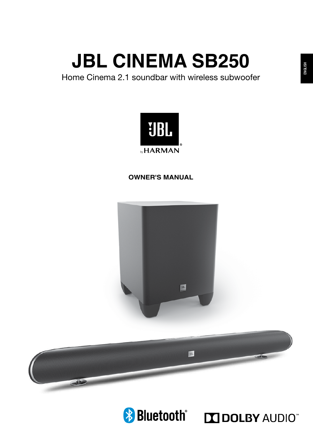Home Cinema 2.1 soundbar with wireless subwoofer



## **OWNER'S MANUAL**





**Bluetooth MDOLBY AUDIO**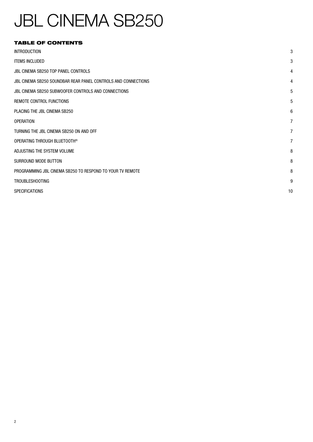## TABLE OF CONTENTS

| <b>INTRODUCTION</b>                                           | 3              |
|---------------------------------------------------------------|----------------|
| <b>ITEMS INCLUDED</b>                                         | 3              |
| JBL CINEMA SB250 TOP PANEL CONTROLS                           | 4              |
| JBL CINEMA SB250 SOUNDBAR REAR PANEL CONTROLS AND CONNECTIONS | $\overline{4}$ |
| JBL CINEMA SB250 SUBWOOFER CONTROLS AND CONNECTIONS           | 5              |
| REMOTE CONTROL FUNCTIONS                                      | 5              |
| PLACING THE JBL CINEMA SB250                                  | 6              |
| <b>OPERATION</b>                                              | $\overline{7}$ |
| TURNING THE JBL CINEMA SB250 ON AND OFF                       | $\overline{7}$ |
| OPERATING THROUGH BLUETOOTH®                                  | $\overline{7}$ |
| ADJUSTING THE SYSTEM VOLUME                                   | 8              |
| SURROUND MODE BUTTON                                          | 8              |
| PROGRAMMING JBL CINEMA SB250 TO RESPOND TO YOUR TV REMOTE     | 8              |
| <b>TROUBLESHOOTING</b>                                        | 9              |
| <b>SPECIFICATIONS</b>                                         | 10             |
|                                                               |                |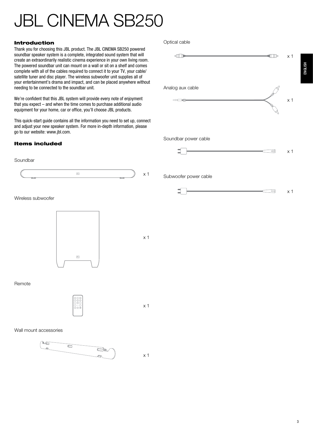### Introduction

Thank you for choosing this JBL product. The JBL CINEMA SB250 powered soundbar speaker system is a complete, integrated sound system that will create an extraordinarily realistic cinema experience in your own living room. The powered soundbar unit can mount on a wall or sit on a shelf and comes complete with all of the cables required to connect it to your TV, your cable/ satellite tuner and disc player. The wireless subwoofer unit supplies all of your entertainment's drama and impact, and can be placed anywhere without needing to be connected to the soundbar unit.

We're confident that this JBL system will provide every note of enjoyment that you expect – and when the time comes to purchase additional audio equipment for your home, car or office, you'll choose JBL products.

This quick-start guide contains all the information you need to set up, connect and adjust your new speaker system. For more in-depth information, please go to our website: www.jbl.com.

### Items included

### Soundbar



Wireless subwoofer



### Remote



x 1

x 1

Wall mount accessories



#### Optical cable

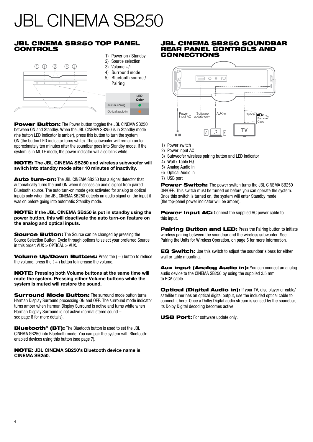## **JBL CINEMA SB250 TOP PANEL** CONTROLS



Power Button: The Power button toggles the JBL CINEMA SB250 between ON and Standby. When the JBL CINEMA SB250 is in Standby mode (the button LED indicator is amber), press this button to turn the system ON (the button LED indicator turns white). The subwoofer will remain on for approximately ten minutes after the soundbar goes into Standby mode. If the system is in MUTE mode, the power indicator will also blink white.

NOTE: **The JBL CINEMA SB250 and wireless subwoofer will switch into standby mode after 10 minutes of inactivity.**

Auto turn-on: The JBL CINEMA SB250 has a signal detector that automatically turns the unit ON when it senses an audio signal from paired Bluetooth source. The auto turn-on mode gets activated for analog or optical inputs only when the JBL CINEMA SB250 detects an audio signal on the input it was on before going into automatic Standby mode.

NOTE: **If the JBL CINEMA SB250 is put in standby using the power button, this will deactivate the auto turn-on feature on the analog and optical inputs.**

Source Button: The Source can be changed by pressing the Source Selection Button. Cycle through options to select your preferred Source in this order: AUX > OPTICAL > AUX.

Volume Up/Down Buttons: Press the (-) button to reduce the volume, press the  $( + )$  button to increase the volume.

NOTE: **Pressing both Volume buttons at the same time will mute the system. Pressing either Volume buttons while the system is muted will restore the sound.**

**Surround Mode Button:** The surround mode button turns Harman Display Surround processing ON and OFF. The surround mode indicator turns amber when Harman Display Surround is active and turns white when Harman Display Surround is not active (normal stereo sound – see page 8 for more details).

Bluetooth® (BT): The Bluetooth button is used to set the JBL CINEMA SB250 into Bluetooth mode. You can pair the system with Bluetoothenabled devices using this button (see page 7).

NOTE: **JBL CINEMA SB250's Bluetooth device name is CINEMA SB250.**

### JBL CINEMA SB250 SOUNDBAR REAR PANEL CONTROLS AND CONNECTIONS



- 1) Power switch
- 2) Power input AC
- 3) Subwoofer wireless pairing button and LED indicator
- 4) Wall / Table EQ
- 5) Analog Audio in
- 6) Optical Audio in
- 7) USB port

Power Switch: The power switch turns the JBL CINEMA SB250 ON/OFF. This switch must be turned on before you can operate the system. Once this switch is turned on, the system will enter Standby mode (the top-panel power indicator will be amber).

Power Input AC: Connect the supplied AC power cable to this input.

**Pairing Button and LED:** Press the Pairing button to initiate wireless pairing between the soundbar and the wireless subwoofer. See Pairing the Units for Wireless Operation, on page 5 for more information.

EQ Switch: Use this switch to adjust the soundbar's bass for either wall or table mounting.

Aux input (Analog Audio in): You can connect an analog audio device to the CINEMA SB250 by using the supplied 3.5 mm to RCA cable.

Optical (Digital Audio in): If your TV, disc player or cable/ satellite tuner has an optical digital output, use the included optical cable to connect it here. Once a Dolby Digital audio stream is sensed by the soundbar, its Dolby Digital decoding becomes active.

USB Port: For software update only.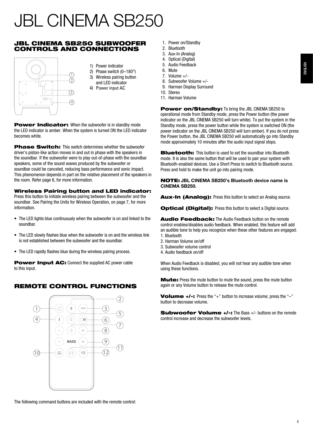## JBL CINEMA SB250 SUBWOOFER CONTROLS AND CONNECTIONS



- 1) Power indicator
- 2) Phase switch (0–180°)
- 3) Wireless pairing button
- and LED indicator
- 4) Power input AC

Power Indicator: When the subwoofer is in standby mode the LED indicator is amber. When the system is turned ON the LED indicator becomes white.

Phase Switch: This switch determines whether the subwoofer driver's piston-like action moves in and out in phase with the speakers in the soundbar. If the subwoofer were to play out-of-phase with the soundbar speakers, some of the sound waves produced by the subwoofer or soundbar could be canceled, reducing bass performance and sonic impact. This phenomenon depends in part on the relative placement of the speakers in the room. Refer page 6, for more information.

### Wireless Pairing button and LED indicator:

Press this button to initiate wireless pairing between the subwoofer and the soundbar. See Pairing the Units for Wireless Operation, on page 7, for more information.

- The LED lights blue continuously when the subwoofer is on and linked to the soundbar.
- The LED slowly flashes blue when the subwoofer is on and the wireless link is not established between the subwoofer and the soundbar.
- The LED rapidly flashes blue during the wireless pairing process.

Power Input AC: Connect the supplied AC power cable to this input.

## REMOTE CONTROL FUNCTIONS



The following command buttons are included with the remote control:

- 1. Power on/Standby
- 2. Bluetooth
- 3. Aux-In (Analog)
- 4. Optical (Digital) 5. Audio Feedback
- 
- 6. Mute 7. Volume +/-
- 8. Subwoofer Volume +/-
- 9. Harman Display Surround
- 10. Stereo
- 11. Harman Volume

Power on/Standby: To bring the JBL CINEMA SB250 to operational mode from Standby mode, press the Power button (the power indicator on the JBL CINEMA SB250 will turn white). To put the system in the Standby mode, press the power button while the system is switched ON (the power indicator on the JBL CINEMA SB250 will turn amber). If you do not press the Power button, the JBL CINEMA SB250 will automatically go into Standby mode approximately 10 minutes after the audio input signal stops.

**Bluetooth:** This button is used to set the soundbar into Bluetooth mode. It is also the same button that will be used to pair your system with Bluetooth-enabled devices. Use a Short Press to switch to Bluetooth source. Press and hold to make the unit go into pairing mode.

#### NOTE: **JBL CINEMA SB250's Bluetooth device name is CINEMA SB250.**

Aux-In (Analog): Press this button to select an Analog source.

Optical (Digital): Press this button to select a Digital source.

Audio Feedback: The Audio Feedback button on the remote control enables/disables audio feedback. When enabled, this feature will add an audible tone to help you recognize when these other features are engaged: 1. Bluetooth

- 2. Harman Volume on/off
- 3. Subwoofer volume control
- 4. Audio feedback on/off

When Audio Feedback is disabled, you will not hear any audible tone when using these functions.

**Mute:** Press the mute button to mute the sound, press the mute button again or any Volume button to release the mute control.

Volume +/-: Press the "+" button to increase volume; press the "-" button to decrease volume.

Subwoofer Volume +/-: The Bass +/- buttons on the remote control increase and decrease the subwoofer levels.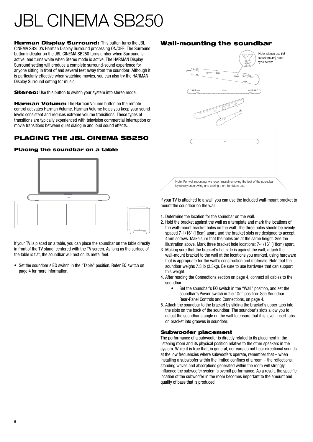**Harman Display Surround:** This button turns the JBL CINEMA SB250's Harman Display Surround processing ON/OFF. The Surround button indicator on the JBL CINEMA SB250 turns amber when Surround is active, and turns white when Stereo mode is active. The HARMAN Display Surround setting will produce a complete surround-sound experience for anyone sitting in front of and several feet away from the soundbar. Although it is particularly effective when watching movies, you can also try the HARMAN Display Surround setting for music.

Stereo: Use this button to switch your system into stereo mode.

**Harman Volume:** The Harman Volume button on the remote control activates Harman Volume. Harman Volume helps you keep your sound levels consistent and reduces extreme volume transitions. These types of transitions are typically experienced with television commercial interruption or movie transitions between quiet dialogue and loud sound effects.

## PLACING THE JBL CINEMA SB250

## Placing the soundbar on a table



If your TV is placed on a table, you can place the soundbar on the table directly in front of the TV stand, centered with the TV screen. As long as the surface of the table is flat, the soundbar will rest on its metal feet.

• Set the soundbar's EQ switch in the "Table" position. Refer EQ switch on page 4 for more information.

## Wall-mounting the soundbar



If your TV is attached to a wall, you can use the included wall-mount bracket to mount the soundbar on the wall.

- 1. Determine the location for the soundbar on the wall.
- 2. Hold the bracket against the wall as a template and mark the locations of the wall-mount bracket holes on the wall. The three holes should be evenly spaced 7-1/16" (18cm) apart, and the bracket slots are designed to accept 4mm screws. Make sure that the holes are at the same height. See the illustration above. Mark three bracket hole locations: 7-1/16" (18cm) apart.
- 3. Making sure that the bracket's flat side is against the wall, attach the wall-mount bracket to the wall at the locations you marked, using hardware that is appropriate for the wall's construction and materials. Note that the soundbar weighs 7.3 lb (3.3kg). Be sure to use hardware that can support this weight.
- 4. After reading the Connections section on page 4, connect all cables to the soundbar.
	- Set the soundbar's EQ switch in the "Wall" position, and set the soundbar's Power switch in the "On" position. See Soundbar Rear-Panel Controls and Connections, on page 4.
- 5. Attach the soundbar to the bracket by sliding the bracket's upper tabs into the slots on the back of the soundbar. The soundbar's slots allow you to adjust the soundbar's angle on the wall to ensure that it is level. Insert tabs on bracket into grooves in soundbar.

### Subwoofer placement

The performance of a subwoofer is directly related to its placement in the listening room and its physical position relative to the other speakers in the system. While it is true that, in general, our ears do not hear directional sounds at the low frequencies where subwoofers operate, remember that – when installing a subwoofer within the limited confines of a room – the reflections, standing waves and absorptions generated within the room will strongly influence the subwoofer system's overall performance. As a result, the specific location of the subwoofer in the room becomes important to the amount and quality of bass that is produced.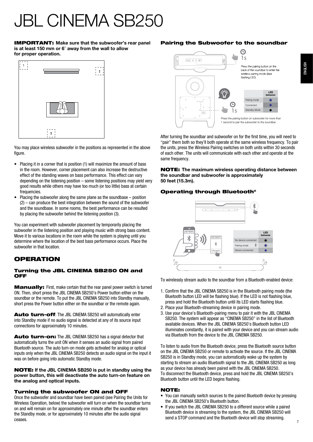IMPORTANT: **Make sure that the subwoofer's rear panel is at least 150 mm or 6**" **away from the wall to allow for proper operation.**



You may place wireless subwoofer in the positions as represented in the above figure.

- Placing it in a corner that is position (1) will maximize the amount of bass in the room. However, corner placement can also increase the destructive effect of the standing waves on bass performance. This effect can vary depending on the listening position – some listening positions may yield very good results while others may have too much (or too little) bass at certain frequencies.
- Placing the subwoofer along the same plane as the soundbase position (2) – can produce the best integration between the sound of the subwoofer and the soundbase. In some rooms, the best performance can be resulted by placing the subwoofer behind the listening position (3).

You can experiment with subwoofer placement by temporarily placing the subwoofer in the listening position and playing music with strong bass content. Move it to various locations in the room while the system is playing until you determine where the location of the best bass performance occurs. Place the subwoofer in that location.

## **OPERATION**

### Turning the JBL CINEMA SB250 ON and **OFF**

**Manually:** First, make certain that the rear panel power switch is turned ON. Then, short press the JBL CINEMA SB250's Power button either on the soundbar or the remote. To put the JBL CINEMA SB250 into Standby manually, short press the Power button either on the soundbar or the remote again.

Auto turn-off: The JBL CINEMA SB250 will automatically enter into Standby mode if no audio signal is detected at any of its source input connections for approximately 10 minutes.

Auto turn-on: The JBL CINEMA SB250 has a signal detector that automatically turns the unit ON when it senses an audio signal from paired Bluetooth source. The auto turn-on mode gets activated for analog or optical inputs only when the JBL CINEMA SB250 detects an audio signal on the input it was on before going into automatic Standby mode.

NOTE: **If the JBL CINEMA SB250 is put in standby using the power button, this will deactivate the auto turn-on feature on the analog and optical inputs.**

### Turning the subwoofer ON and OFF

Once the subwoofer and soundbar have been paired (see Pairing the Units for Wireless Operation, below) the subwoofer will turn on when the soundbar turns on and will remain on for approximately one minute after the soundbar enters the Standby mode, or for approximately 10 minutes after the audio signal ceases.

## Pairing the Subwoofer to the soundbar



After turning the soundbar and subwoofer on for the first time, you will need to "pair" them both so they'll both operate at the same wireless frequency. To pair the units, press the Wireless Pairing switches on both units within 30 seconds of each other. The units will communicate with each other and operate at the same frequency.

NOTE: **The maximum wireless operating distance between the soundbar and subwoofer is approximately 50 feet (15.3m).**

## Operating through Bluetooth®



To wirelessly stream audio to the soundbar from a Bluetooth-enabled device:

- 1. Confirm that the JBL CINEMA SB250 is in the Bluetooth pairing mode (the Bluetooth button LED will be flashing blue). If the LED is not flashing blue, press and hold the Bluetooth button until its LED starts flashing blue.
- 2. Place your Bluetooth-streaming device in pairing mode.
- 3. Use your device's Bluetooth-pairing menu to pair it with the JBL CINEMA SB250. The system will appear as "CINEMA SB250" in the list of Bluetooth available devices. When the JBL CINEMA SB250's Bluetooth button LED illuminates constantly, it is paired with your device and you can stream audio via Bluetooth from the device to the JBL CINEMA SB250.

To listen to audio from the Bluetooth device, press the Bluetooth source button on the JBL CINEMA SB250 or remote to activate the source. If the JBL CINEMA SB250 is in Standby mode, you can automatically wake up the system by starting to stream an audio Bluetooth signal to the JBL CINEMA SB250 as long as your device has already been paired with the JBL CINEMA SB250. To disconnect the Bluetooth device, press and hold the JBL CINEMA SB250's Bluetooth button until the LED begins flashing.

### NOTE:

- You can manually switch sources to the paired Bluetooth device by pressing the JBL CINEMA SB250's Bluetooth button.
- If you switch the JBL CINEMA SB250 to a different source while a paired Bluetooth device is streaming to the system, the JBL CINEMA SB250 will send a STOP command and the Bluetooth device will stop streaming.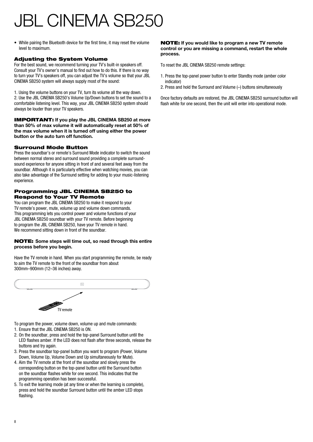• While pairing the Bluetooth device for the first time, it may reset the volume level to maximum.

### Adjusting the System Volume

For the best sound, we recommend turning your TV's built-in speakers off. Consult your TV's owner's manual to find out how to do this. If there is no way to turn your TV's speakers off, you can adjust the TV's volume so that your JBL CINEMA SB250 system will always supply most of the sound:

1. Using the volume buttons on your TV, turn its volume all the way down. 2. Use the JBL CINEMA SB250's Volume Up/Down buttons to set the sound to a comfortable listening level. This way, your JBL CINEMA SB250 system should always be louder than your TV speakers.

IMPORTANT: **If you play the JBL CINEMA SB250 at more than 50% of max volume it will automatically reset at 50% of the max volume when it is turned off using either the power button or the auto turn off function.**

#### Surround Mode Button

Press the soundbar's or remote's Surround Mode indicator to switch the sound between normal stereo and surround sound providing a complete surroundsound experience for anyone sitting in front of and several feet away from the soundbar. Although it is particularly effective when watching movies, you can also take advantage of the Surround setting for adding to your music-listening experience.

#### Programming JBL CINEMA SB250 to Respond to Your TV Remote

You can program the JBL CINEMA SB250 to make it respond to your TV remote's power, mute, volume up and volume down commands. This programming lets you control power and volume functions of your JBL CINEMA SB250 soundbar with your TV remote. Before beginning to program the JBL CINEMA SB250, have your TV remote in hand. We recommend sitting down in front of the soundbar.

#### NOTE: **Some steps will time out, so read through this entire process before you begin.**

Have the TV remote in hand. When you start programming the remote, be ready to aim the TV remote to the front of the soundbar from about 300mm–900mm (12–36 inches) away.



To program the power, volume down, volume up and mute commands:

- 1. Ensure that the JBL CINEMA SB250 is ON.
- 2. On the soundbar, press and hold the top-panel Surround button until the LED flashes amber. If the LED does not flash after three seconds, release the buttons and try again.
- 3. Press the soundbar top-panel button you want to program (Power, Volume Down, Volume Up, Volume Down and Up simultaneously for Mute).
- 4. Aim the TV remote at the front of the soundbar and slowly press the corresponding button on the top-panel button until the Surround button on the soundbar flashes white for one second. This indicates that the programming operation has been successful.
- 5. To exit the learning mode (at any time or when the learning is complete), press and hold the soundbar Surround button until the amber LED stops flashing.

#### NOTE: **If you would like to program a new TV remote control or you are missing a command, restart the whole process.**

To reset the JBL CINEMA SB250 remote settings:

- 1. Press the top-panel power button to enter Standby mode (amber color indicator)
- 2. Press and hold the Surround and Volume (–) buttons simultaneously

Once factory defaults are restored, the JBL CINEMA SB250 surround button will flash white for one second, then the unit will enter into operational mode.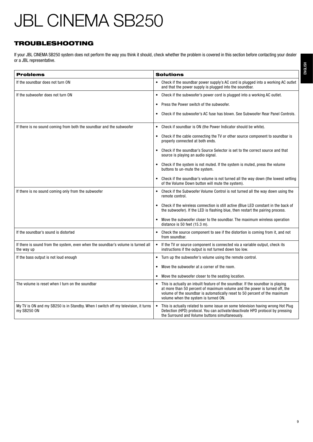## TROUBLESHOOTING

If your JBL CINEMA SB250 system does not perform the way you think it should, check whether the problem is covered in this section before contacting your dealer or a JBL representative.

| <b>Problems</b>                                                                                  | <b>Solutions</b>                                                                                                                                                                                                                                                                    |
|--------------------------------------------------------------------------------------------------|-------------------------------------------------------------------------------------------------------------------------------------------------------------------------------------------------------------------------------------------------------------------------------------|
|                                                                                                  |                                                                                                                                                                                                                                                                                     |
| If the soundbar does not turn ON                                                                 | Check if the soundbar power supply's AC cord is plugged into a working AC outlet<br>and that the power supply is plugged into the soundbar.                                                                                                                                         |
| If the subwoofer does not turn ON                                                                | Check if the subwoofer's power cord is plugged into a working AC outlet.<br>$\bullet$                                                                                                                                                                                               |
|                                                                                                  | Press the Power switch of the subwoofer.<br>$\bullet$                                                                                                                                                                                                                               |
|                                                                                                  | Check if the subwoofer's AC fuse has blown. See Subwoofer Rear Panel Controls.<br>$\bullet$                                                                                                                                                                                         |
| If there is no sound coming from both the soundbar and the subwoofer                             | Check if soundbar is ON (the Power Indicator should be white).<br>$\bullet$                                                                                                                                                                                                         |
|                                                                                                  | Check if the cable connecting the TV or other source component to soundbar is<br>٠<br>properly connected at both ends.                                                                                                                                                              |
|                                                                                                  | Check if the soundbar's Source Selector is set to the correct source and that<br>source is playing an audio signal.                                                                                                                                                                 |
|                                                                                                  | Check if the system is not muted. If the system is muted, press the volume<br>buttons to un-mute the system.                                                                                                                                                                        |
|                                                                                                  | Check if the soundbar's volume is not turned all the way down (the lowest setting<br>of the Volume Down button will mute the system).                                                                                                                                               |
| If there is no sound coming only from the subwoofer                                              | Check if the Subwoofer Volume Control is not turned all the way down using the<br>remote control.                                                                                                                                                                                   |
|                                                                                                  | Check if the wireless connection is still active (Blue LED constant in the back of<br>the subwoofer). If the LED is flashing blue, then restart the pairing process.                                                                                                                |
|                                                                                                  | Move the subwoofer closer to the soundbar. The maximum wireless operation<br>distance is 50 feet (15.3 m).                                                                                                                                                                          |
| If the soundbar's sound is distorted                                                             | Check the source component to see if the distortion is coming from it, and not<br>from soundbar.                                                                                                                                                                                    |
| If there is sound from the system, even when the soundbar's volume is turned all<br>the way up   | If the TV or source component is connected via a variable output, check its<br>$\bullet$<br>instructions if the output is not turned down too low.                                                                                                                                  |
| If the bass output is not loud enough                                                            | Turn up the subwoofer's volume using the remote control.                                                                                                                                                                                                                            |
|                                                                                                  | Move the subwoofer at a corner of the room.<br>$\bullet$                                                                                                                                                                                                                            |
|                                                                                                  | Move the subwoofer closer to the seating location.<br>٠                                                                                                                                                                                                                             |
| The volume is reset when I turn on the soundbar                                                  | This is actually an inbuilt feature of the soundbar. If the soundbar is playing<br>at more than 50 percent of maximum volume and the power is turned off, the<br>volume of the soundbar is automatically reset to 50 percent of the maximum<br>volume when the system is turned ON. |
| My TV is ON and my SB250 is in Standby. When I switch off my television, it turns<br>my SB250 ON | This is actually related to some issue on some television having wrong Hot Plug<br>Detection (HPD) protocol. You can activate/deactivate HPD protocol by pressing<br>the Surround and Volume buttons simultaneously.                                                                |